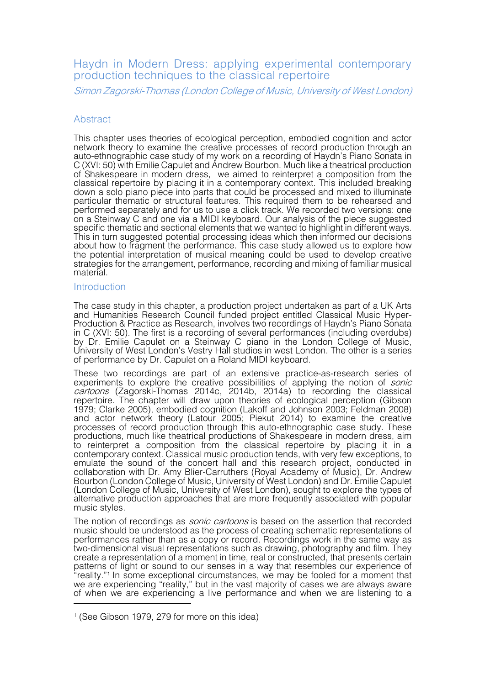# Haydn in Modern Dress: applying experimental contemporary production techniques to the classical repertoire

Simon Zagorski-Thomas (London College of Music, University of West London)

# **Abstract**

This chapter uses theories of ecological perception, embodied cognition and actor network theory to examine the creative processes of record production through an auto-ethnographic case study of my work on a recording of Haydn's Piano Sonata in C (XVI: 50) with Emilie Capulet and Andrew Bourbon. Much like a theatrical production of Shakespeare in modern dress, we aimed to reinterpret a composition from the classical repertoire by placing it in a contemporary context. This included breaking down a solo piano piece into parts that could be processed and mixed to illuminate particular thematic or structural features. This required them to be rehearsed and performed separately and for us to use a click track. We recorded two versions: one on a Steinway C and one via a MIDI keyboard. Our analysis of the piece suggested specific thematic and sectional elements that we wanted to highlight in different ways. This in turn suggested potential processing ideas which then informed our decisions about how to fragment the performance. This case study allowed us to explore how the potential interpretation of musical meaning could be used to develop creative strategies for the arrangement, performance, recording and mixing of familiar musical material.

## **Introduction**

The case study in this chapter, a production project undertaken as part of a UK Arts and Humanities Research Council funded project entitled Classical Music Hyper- Production & Practice as Research, involves two recordings of Haydn's Piano Sonata in C (XVI: 50). The first is a recording of several performances (including overdubs) by Dr. Emilie Capulet on a Steinway C piano in the London College of Music, University of West London's Vestry Hall studios in west London. The other is a series of performance by Dr. Capulet on a Roland MIDI keyboard.

These two recordings are part of an extensive practice-as-research series of experiments to explore the creative possibilities of applying the notion of *sonic* cartoons (Zagorski-Thomas 2014c, 2014b, 2014a) to recording the classical repertoire. The chapter will draw upon theories of ecological perception (Gibson 1979; Clarke 2005), embodied cognition (Lakoff and Johnson 2003; Feldman 2008) and actor network theory (Latour 2005; Piekut 2014) to examine the creative processes of record production through this auto-ethnographic case study. These productions, much like theatrical productions of Shakespeare in modern dress, aim to reinterpret a composition from the classical repertoire by placing it in a contemporary context. Classical music production tends, with very few exceptions, to emulate the sound of the concert hall and this research project, conducted in collaboration with Dr. Amy Blier-Carruthers (Royal Academy of Music), Dr. Andrew Bourbon (London College of Music, University of West London) and Dr. Emilie Capulet (London College of Music, University of West London), sought to explore the types of alternative production approaches that are more frequently associated with popular music styles.

The notion of recordings as *sonic cartoons* is based on the assertion that recorded music should be understood as the process of creating schematic representations of performances rather than as a copy or record. Recordings work in the same way as two-dimensional visual representations such as drawing, photography and film. They create a representation of a moment in time, real or constructed, that presents certain patterns of light or sound to our senses in a way that resembles our experience of "reality."1 In some exceptional circumstances, we may be fooled for a moment that we are experiencing "reality," but in the vast majority of cases we are always aware of when we are experiencing a live performance and when we are listening to a

<sup>1</sup> (See Gibson 1979, 279 for more on this idea)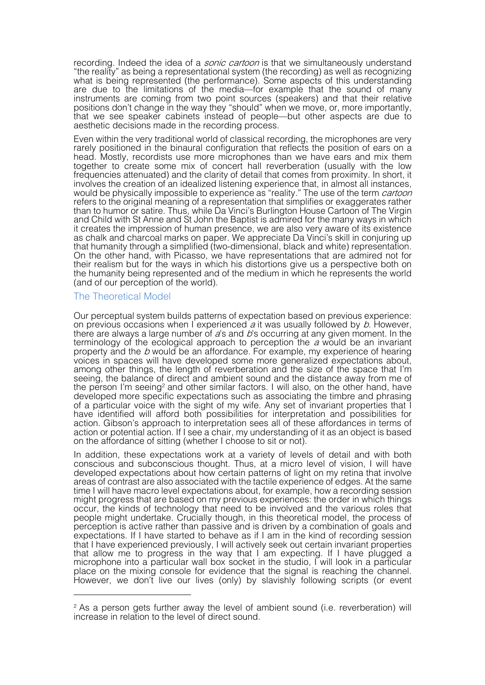recording. Indeed the idea of a *sonic cartoon* is that we simultaneously understand "the reality" as being a representational system (the recording) as well as recognizing what is being represented (the performance). Some aspects of this understanding are due to the limitations of the media—for example that the sound of many instruments are coming from two point sources (speakers) and that their relative positions don't change in the way they "should" when we move, or, more importantly, that we see speaker cabinets instead of people—but other aspects are due to aesthetic decisions made in the recording process.

Even within the very traditional world of classical recording, the microphones are very rarely positioned in the binaural configuration that reflects the position of ears on a head. Mostly, recordists use more microphones than we have ears and mix them together to create some mix of concert hall reverberation (usually with the low frequencies attenuated) and the clarity of detail that comes from proximity. In short, it involves the creation of an idealized listening experience that, in almost all instances, would be physically impossible to experience as "reality." The use of the term *cartoon* refers to the original meaning of a representation that simplifies or exaggerates rather than to humor or satire. Thus, while Da Vinci's Burlington House Cartoon of The Virgin and Child with St Anne and St John the Baptist is admired for the many ways in which it creates the impression of human presence, we are also very aware of its existence as chalk and charcoal marks on paper. We appreciate Da Vinci's skill in conjuring up that humanity through a simplified (two-dimensional, black and white) representation. On the other hand, with Picasso, we have representations that are admired not for their realism but for the ways in which his distortions give us a perspective both on the humanity being represented and of the medium in which he represents the world (and of our perception of the world).

### The Theoretical Model

-

Our perceptual system builds patterns of expectation based on previous experience: on previous occasions when I experienced  $a$  it was usually followed by  $b$ . However, there are always a large number of  $a$ 's and  $b$ 's occurring at any given moment. In the terminology of the ecological approach to perception the  $a$  would be an invariant property and the b would be an affordance. For example, my experience of hearing voices in spaces will have developed some more generalized expectations about, among other things, the length of reverberation and the size of the space that I'm seeing, the balance of direct and ambient sound and the distance away from me of the person I'm seeing<sup>2</sup> and other similar factors. I will also, on the other hand, have developed more specific expectations such as associating the timbre and phrasing of a particular voice with the sight of my wife. Any set of invariant properties that I have identified will afford both possibilities for interpretation and possibilities for action. Gibson's approach to interpretation sees all of these affordances in terms of action or potential action. If I see a chair, my understanding of it as an object is based on the affordance of sitting (whether I choose to sit or not).

In addition, these expectations work at a variety of levels of detail and with both conscious and subconscious thought. Thus, at a micro level of vision, I will have developed expectations about how certain patterns of light on my retina that involve areas of contrast are also associated with the tactile experience of edges. At the same time I will have macro level expectations about, for example, how a recording session might progress that are based on my previous experiences: the order in which things occur, the kinds of technology that need to be involved and the various roles that people might undertake. Crucially though, in this theoretical model, the process of perception is active rather than passive and is driven by a combination of goals and expectations. If I have started to behave as if I am in the kind of recording session that I have experienced previously, I will actively seek out certain invariant properties that allow me to progress in the way that I am expecting. If I have plugged a microphone into a particular wall box socket in the studio, I will look in a particular place on the mixing console for evidence that the signal is reaching the channel. However, we don't live our lives (only) by slavishly following scripts (or event

<sup>&</sup>lt;sup>2</sup> As a person gets further away the level of ambient sound (i.e. reverberation) will increase in relation to the level of direct sound.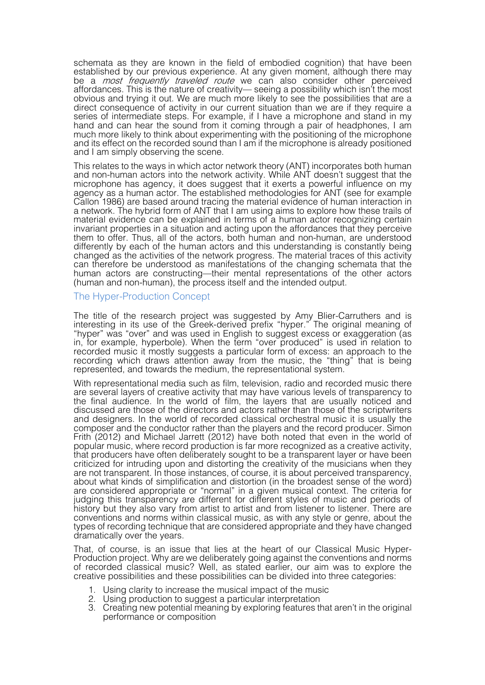schemata as they are known in the field of embodied cognition) that have been established by our previous experience. At any given moment, although there may be a *most frequently traveled route* we can also consider other perceived affordances. This is the nature of creativity— seeing a possibility which isn't the most obvious and trying it out. We are much more likely to see the possibilities that are a direct consequence of activity in our current situation than we are if they require a series of intermediate steps. For example, if I have a microphone and stand in my hand and can hear the sound from it coming through a pair of headphones, I am much more likely to think about experimenting with the positioning of the microphone and its effect on the recorded sound than I am if the microphone is already positioned and I am simply observing the scene.

This relates to the ways in which actor network theory (ANT) incorporates both human and non-human actors into the network activity. While ANT doesn't suggest that the microphone has agency, it does suggest that it exerts a powerful influence on my agency as a human actor. The established methodologies for ANT (see for example Callon 1986) are based around tracing the material evidence of human interaction in a network. The hybrid form of ANT that I am using aims to explore how these trails of material evidence can be explained in terms of a human actor recognizing certain invariant properties in a situation and acting upon the affordances that they perceive them to offer. Thus, all of the actors, both human and non-human, are understood differently by each of the human actors and this understanding is constantly being changed as the activities of the network progress. The material traces of this activity can therefore be understood as manifestations of the changing schemata that the human actors are constructing—their mental representations of the other actors (human and non-human), the process itself and the intended output.

### The Hyper-Production Concept

The title of the research project was suggested by Amy Blier-Carruthers and is interesting in its use of the Greek-derived prefix "hyper." The original meaning of "hyper" was "over" and was used in English to suggest excess or exaggeration (as in, for example, hyperbole). When the term "over produced" is used in relation to recorded music it mostly suggests a particular form of excess: an approach to the recording which draws attention away from the music, the "thing" that is being represented, and towards the medium, the representational system.

With representational media such as film, television, radio and recorded music there are several layers of creative activity that may have various levels of transparency to the final audience. In the world of film, the layers that are usually noticed and discussed are those of the directors and actors rather than those of the scriptwriters and designers. In the world of recorded classical orchestral music it is usually the composer and the conductor rather than the players and the record producer. Simon Frith (2012) and Michael Jarrett (2012) have both noted that even in the world of popular music, where record production is far more recognized as a creative activity, that producers have often deliberately sought to be a transparent layer or have been criticized for intruding upon and distorting the creativity of the musicians when they are not transparent. In those instances, of course, it is about perceived transparency, about what kinds of simplification and distortion (in the broadest sense of the word) are considered appropriate or "normal" in a given musical context. The criteria for judging this transparency are different for different styles of music and periods of history but they also vary from artist to artist and from listener to listener. There are conventions and norms within classical music, as with any style or genre, about the types of recording technique that are considered appropriate and they have changed dramatically over the years.

That, of course, is an issue that lies at the heart of our Classical Music Hyper- Production project. Why are we deliberately going against the conventions and norms of recorded classical music? Well, as stated earlier, our aim was to explore the creative possibilities and these possibilities can be divided into three categories:

- 1. Using clarity to increase the musical impact of the music
- 2. Using production to suggest a particular interpretation
- 3. Creating new potential meaning by exploring features that aren't in the original performance or composition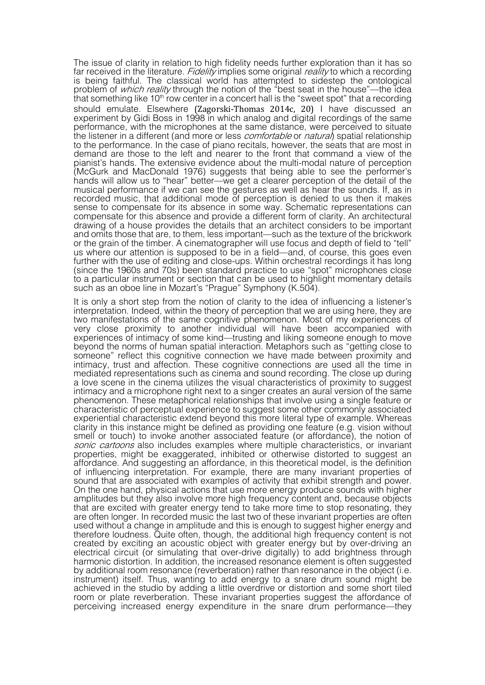The issue of clarity in relation to high fidelity needs further exploration than it has so far received in the literature. Fidelity implies some original reality to which a recording is being faithful. The classical world has attempted to sidestep the ontological problem of *which reality* through the notion of the "best seat in the house"—the idea that something like  $10<sup>th</sup>$  row center in a concert hall is the "sweet spot" that a recording should emulate. Elsewhere (Zagorski-Thomas 2014c, 20) I have discussed an experiment by Gidi Boss in 1998 in which analog and digital recordings of the same performance, with the microphones at the same distance, were perceived to situate the listener in a different (and more or less *comfortable* or *natural*) spatial relationship to the performance. In the case of piano recitals, however, the seats that are most in demand are those to the left and nearer to the front that command a view of the pianist's hands. The extensive evidence about the multi-modal nature of perception (McGurk and MacDonald 1976) suggests that being able to see the performer's hands will allow us to "hear" better—we get a clearer perception of the detail of the musical performance if we can see the gestures as well as hear the sounds. If, as in recorded music, that additional mode of perception is denied to us then it makes sense to compensate for its absence in some way. Schematic representations can compensate for this absence and provide a different form of clarity. An architectural drawing of a house provides the details that an architect considers to be important and omits those that are, to them, less important—such as the texture of the brickwork or the grain of the timber. A cinematographer will use focus and depth of field to "tell" us where our attention is supposed to be in a field—and, of course, this goes even further with the use of editing and close-ups. Within orchestral recordings it has long (since the 1960s and 70s) been standard practice to use "spot" microphones close to a particular instrument or section that can be used to highlight momentary details such as an oboe line in Mozart's "Prague" Symphony (K.504).

It is only a short step from the notion of clarity to the idea of influencing a listener's interpretation. Indeed, within the theory of perception that we are using here, they are two manifestations of the same cognitive phenomenon. Most of my experiences of very close proximity to another individual will have been accompanied with experiences of intimacy of some kind—trusting and liking someone enough to move beyond the norms of human spatial interaction. Metaphors such as "getting close to someone" reflect this cognitive connection we have made between proximity and intimacy, trust and affection. These cognitive connections are used all the time in mediated representations such as cinema and sound recording. The close up during a love scene in the cinema utilizes the visual characteristics of proximity to suggest intimacy and a microphone right next to a singer creates an aural version of the same phenomenon. These metaphorical relationships that involve using a single feature or characteristic of perceptual experience to suggest some other commonly associated experiential characteristic extend beyond this more literal type of example. Whereas clarity in this instance might be defined as providing one feature (e.g. vision without smell or touch) to invoke another associated feature (or affordance), the notion of sonic cartoons also includes examples where multiple characteristics, or invariant properties, might be exaggerated, inhibited or otherwise distorted to suggest an affordance. And suggesting an affordance, in this theoretical model, is the definition of influencing interpretation. For example, there are many invariant properties of sound that are associated with examples of activity that exhibit strength and power. On the one hand, physical actions that use more energy produce sounds with higher amplitudes but they also involve more high frequency content and, because objects that are excited with greater energy tend to take more time to stop resonating, they are often longer. In recorded music the last two of these invariant properties are often used without a change in amplitude and this is enough to suggest higher energy and therefore loudness. Quite often, though, the additional high frequency content is not created by exciting an acoustic object with greater energy but by over-driving an electrical circuit (or simulating that over-drive digitally) to add brightness through harmonic distortion. In addition, the increased resonance element is often suggested by additional room resonance (reverberation) rather than resonance in the object (i.e. instrument) itself. Thus, wanting to add energy to a snare drum sound might be achieved in the studio by adding a little overdrive or distortion and some short tiled room or plate reverberation. These invariant properties suggest the affordance of perceiving increased energy expenditure in the snare drum performance—they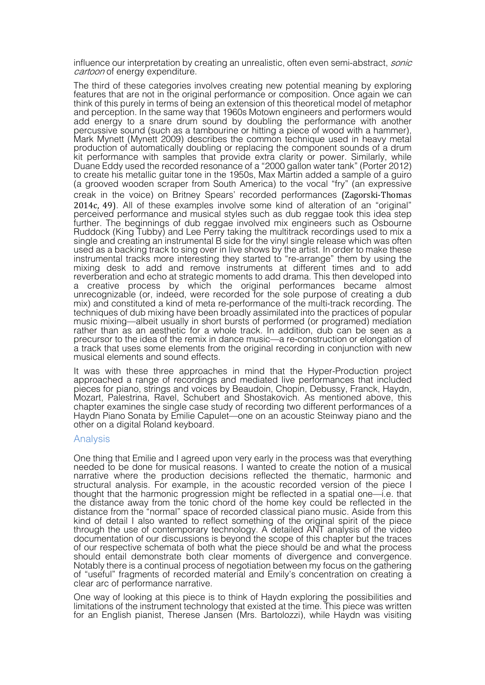influence our interpretation by creating an unrealistic, often even semi-abstract, *sonic* cartoon of energy expenditure.

The third of these categories involves creating new potential meaning by exploring features that are not in the original performance or composition. Once again we can think of this purely in terms of being an extension of this theoretical model of metaphor and perception. In the same way that 1960s Motown engineers and performers would add energy to a snare drum sound by doubling the performance with another percussive sound (such as a tambourine or hitting a piece of wood with a hammer), Mark Mynett (Mynett 2009) describes the common technique used in heavy metal production of automatically doubling or replacing the component sounds of a drum kit performance with samples that provide extra clarity or power. Similarly, while Duane Eddy used the recorded resonance of a "2000 gallon water tank" (Porter 2012) to create his metallic guitar tone in the 1950s, Max Martin added a sample of a guiro (a grooved wooden scraper from South America) to the vocal "fry" (an expressive creak in the voice) on Britney Spears' recorded performances (Zagorski-Thomas 2014c, 49). All of these examples involve some kind of alteration of an "original" perceived performance and musical styles such as dub reggae took this idea step further. The beginnings of dub reggae involved mix engineers such as Osbourne Ruddock (King Tubby) and Lee Perry taking the multitrack recordings used to mix a single and creating an instrumental B side for the vinyl single release which was often used as a backing track to sing over in live shows by the artist. In order to make these instrumental tracks more interesting they started to "re-arrange" them by using the mixing desk to add and remove instruments at different times and to add reverberation and echo at strategic moments to add drama. This then developed into a creative process by which the original performances became almost unrecognizable (or, indeed, were recorded for the sole purpose of creating a dub mix) and constituted a kind of meta re-performance of the multi-track recording. The techniques of dub mixing have been broadly assimilated into the practices of popular music mixing—albeit usually in short bursts of performed (or programed) mediation rather than as an aesthetic for a whole track. In addition, dub can be seen as a precursor to the idea of the remix in dance music—a re-construction or elongation of a track that uses some elements from the original recording in conjunction with new musical elements and sound effects.

It was with these three approaches in mind that the Hyper-Production project approached a range of recordings and mediated live performances that included pieces for piano, strings and voices by Beaudoin, Chopin, Debussy, Franck, Haydn, Mozart, Palestrina, Ravel, Schubert and Shostakovich. As mentioned above, this chapter examines the single case study of recording two different performances of a Haydn Piano Sonata by Emilie Capulet—one on an acoustic Steinway piano and the other on a digital Roland keyboard.

### Analysis

One thing that Emilie and I agreed upon very early in the process was that everything needed to be done for musical reasons. I wanted to create the notion of a musical narrative where the production decisions reflected the thematic, harmonic and structural analysis. For example, in the acoustic recorded version of the piece I thought that the harmonic progression might be reflected in a spatial one—i.e. that the distance away from the tonic chord of the home key could be reflected in the distance from the "normal" space of recorded classical piano music. Aside from this kind of detail I also wanted to reflect something of the original spirit of the piece through the use of contemporary technology. A detailed ANT analysis of the video documentation of our discussions is beyond the scope of this chapter but the traces of our respective schemata of both what the piece should be and what the process should entail demonstrate both clear moments of divergence and convergence. Notably there is a continual process of negotiation between my focus on the gathering of "useful" fragments of recorded material and Emily's concentration on creating a clear arc of performance narrative.

One way of looking at this piece is to think of Haydn exploring the possibilities and limitations of the instrument technology that existed at the time. This piece was written for an English pianist, Therese Jansen (Mrs. Bartolozzi), while Haydn was visiting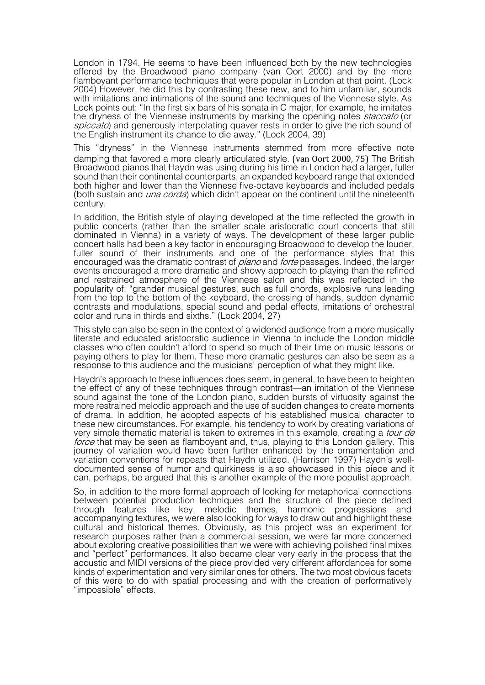London in 1794. He seems to have been influenced both by the new technologies offered by the Broadwood piano company (van Oort 2000) and by the more flamboyant performance techniques that were popular in London at that point. (Lock 2004) However, he did this by contrasting these new, and to him unfamiliar, sounds with imitations and intimations of the sound and techniques of the Viennese style. As Lock points out: "In the first six bars of his sonata in C major, for example, he imitates the dryness of the Viennese instruments by marking the opening notes *staccato* (or spiccato) and generously interpolating quaver rests in order to give the rich sound of the English instrument its chance to die away." (Lock 2004, 39)

This "dryness" in the Viennese instruments stemmed from more effective note damping that favored a more clearly articulated style. (van Oort 2000, 75) The British Broadwood pianos that Haydn was using during his time in London had a larger, fuller sound than their continental counterparts, an expanded keyboard range that extended both higher and lower than the Viennese five-octave keyboards and included pedals (both sustain and *una corda*) which didn't appear on the continent until the nineteenth century.

In addition, the British style of playing developed at the time reflected the growth in public concerts (rather than the smaller scale aristocratic court concerts that still dominated in Vienna) in a variety of ways. The development of these larger public concert halls had been a key factor in encouraging Broadwood to develop the louder, fuller sound of their instruments and one of the performance styles that this encouraged was the dramatic contrast of *piano* and *forte* passages. Indeed, the larger events encouraged a more dramatic and showy approach to playing than the refined and restrained atmosphere of the Viennese salon and this was reflected in the popularity of: "grander musical gestures, such as full chords, explosive runs leading from the top to the bottom of the keyboard, the crossing of hands, sudden dynamic contrasts and modulations, special sound and pedal effects, imitations of orchestral color and runs in thirds and sixths." (Lock 2004, 27)

This style can also be seen in the context of a widened audience from a more musically literate and educated aristocratic audience in Vienna to include the London middle classes who often couldn't afford to spend so much of their time on music lessons or paying others to play for them. These more dramatic gestures can also be seen as a response to this audience and the musicians' perception of what they might like.

Haydn's approach to these influences does seem, in general, to have been to heighten the effect of any of these techniques through contrast—an imitation of the Viennese sound against the tone of the London piano, sudden bursts of virtuosity against the more restrained melodic approach and the use of sudden changes to create moments of drama. In addition, he adopted aspects of his established musical character to these new circumstances. For example, his tendency to work by creating variations of very simple thematic material is taken to extremes in this example, creating a *tour de* force that may be seen as flamboyant and, thus, playing to this London gallery. This journey of variation would have been further enhanced by the ornamentation and<br>variation conventions for repeats that Haydn utilized. (Harrison 1997) Haydn's welldocumented sense of humor and quirkiness is also showcased in this piece and it can, perhaps, be argued that this is another example of the more populist approach.

So, in addition to the more formal approach of looking for metaphorical connections between potential production techniques and the structure of the piece defined through features like key, melodic themes, harmonic progressions and accompanying textures, we were also looking for ways to draw out and highlight these cultural and historical themes. Obviously, as this project was an experiment for research purposes rather than a commercial session, we were far more concerned about exploring creative possibilities than we were with achieving polished final mixes and "perfect" performances. It also became clear very early in the process that the acoustic and MIDI versions of the piece provided very different affordances for some kinds of experimentation and very similar ones for others. The two most obvious facets of this were to do with spatial processing and with the creation of performatively "impossible" effects.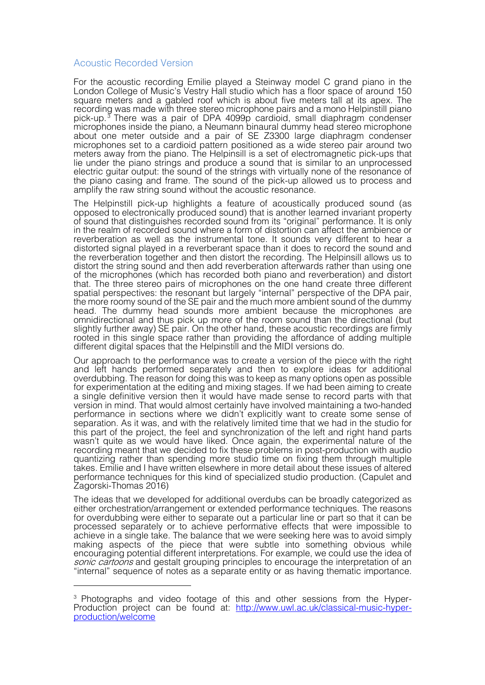# Acoustic Recorded Version

For the acoustic recording Emilie played a Steinway model C grand piano in the London College of Music's Vestry Hall studio which has a floor space of around 150 square meters and a gabled roof which is about five meters tall at its apex. The recording was made with three stereo microphone pairs and a mono Helpinstill piano pick-up.<sup>3</sup> There was a pair of DPA 4099p cardioid, small diaphragm condenser microphones inside the piano, a Neumann binaural dummy head stereo microphone about one meter outside and a pair of SE Z3300 large diaphragm condenser microphones set to a cardioid pattern positioned as a wide stereo pair around two meters away from the piano. The Helpinsill is a set of electromagnetic pick-ups that lie under the piano strings and produce a sound that is similar to an unprocessed electric guitar output: the sound of the strings with virtually none of the resonance of the piano casing and frame. The sound of the pick-up allowed us to process and amplify the raw string sound without the acoustic resonance.

The Helpinstill pick-up highlights a feature of acoustically produced sound (as opposed to electronically produced sound) that is another learned invariant property of sound that distinguishes recorded sound from its "original" performance. It is only in the realm of recorded sound where a form of distortion can affect the ambience or reverberation as well as the instrumental tone. It sounds very different to hear a distorted signal played in a reverberant space than it does to record the sound and the reverberation together and then distort the recording. The Helpinsill allows us to distort the string sound and then add reverberation afterwards rather than using one of the microphones (which has recorded both piano and reverberation) and distort that. The three stereo pairs of microphones on the one hand create three different spatial perspectives: the resonant but largely "internal" perspective of the DPA pair, the more roomy sound of the SE pair and the much more ambient sound of the dummy head. The dummy head sounds more ambient because the microphones are omnidirectional and thus pick up more of the room sound than the directional (but slightly further away) SE pair. On the other hand, these acoustic recordings are firmly rooted in this single space rather than providing the affordance of adding multiple different digital spaces that the Helpinstill and the MIDI versions do.

Our approach to the performance was to create a version of the piece with the right and left hands performed separately and then to explore ideas for additional overdubbing. The reason for doing this was to keep as many options open as possible for experimentation at the editing and mixing stages. If we had been aiming to create a single definitive version then it would have made sense to record parts with that version in mind. That would almost certainly have involved maintaining a two-handed performance in sections where we didn't explicitly want to create some sense of separation. As it was, and with the relatively limited time that we had in the studio for this part of the project, the feel and synchronization of the left and right hand parts wasn't quite as we would have liked. Once again, the experimental nature of the recording meant that we decided to fix these problems in post-production with audio quantizing rather than spending more studio time on fixing them through multiple takes. Emilie and I have written elsewhere in more detail about these issues of altered performance techniques for this kind of specialized studio production. (Capulet and Zagorski-Thomas 2016)

The ideas that we developed for additional overdubs can be broadly categorized as either orchestration/arrangement or extended performance techniques. The reasons for overdubbing were either to separate out a particular line or part so that it can be processed separately or to achieve performative effects that were impossible to achieve in a single take. The balance that we were seeking here was to avoid simply making aspects of the piece that were subtle into something obvious while encouraging potential different interpretations. For example, we could use the idea of sonic cartoons and gestalt grouping principles to encourage the interpretation of an "internal" sequence of notes as a separate entity or as having thematic importance.

<sup>&</sup>lt;sup>3</sup> Photographs and video footage of this and other sessions from the Hyper-Production project can be found at: http://www.uwl.ac.uk/classical-music-hyper-<br>production/welcome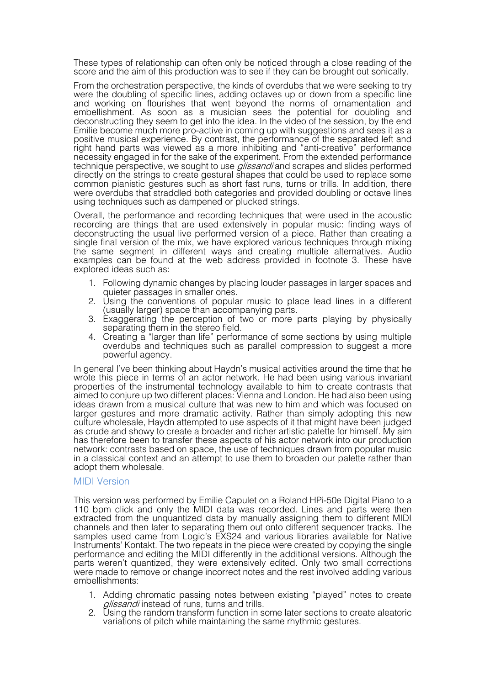These types of relationship can often only be noticed through a close reading of the score and the aim of this production was to see if they can be brought out sonically.

From the orchestration perspective, the kinds of overdubs that we were seeking to try were the doubling of specific lines, adding octaves up or down from a specific line and working on flourishes that went beyond the norms of ornamentation and embellishment. As soon as a musician sees the potential for doubling and deconstructing they seem to get into the idea. In the video of the session, by the end Emilie become much more pro-active in coming up with suggestions and sees it as a positive musical experience. By contrast, the performance of the separated left and right hand parts was viewed as a more inhibiting and "anti-creative" performance necessity engaged in for the sake of the experiment. From the extended performance technique perspective, we sought to use *glissandi* and scrapes and slides performed directly on the strings to create gestural shapes that could be used to replace some common pianistic gestures such as short fast runs, turns or trills. In addition, there were overdubs that straddled both categories and provided doubling or octave lines using techniques such as dampened or plucked strings.

Overall, the performance and recording techniques that were used in the acoustic recording are things that are used extensively in popular music: finding ways of deconstructing the usual live performed version of a piece. Rather than creating a single final version of the mix, we have explored various techniques through mixing the same segment in different ways and creating multiple alternatives. Audio examples can be found at the web address provided in footnote 3. These have explored ideas such as:

- 1. Following dynamic changes by placing louder passages in larger spaces and quieter passages in smaller ones.
- 2. Using the conventions of popular music to place lead lines in a different (usually larger) space than accompanying parts.
- 3. Exaggerating the perception of two or more parts playing by physically separating them in the stereo field.
- 4. Creating a "larger than life" performance of some sections by using multiple overdubs and techniques such as parallel compression to suggest a more powerful agency.

In general I've been thinking about Haydn's musical activities around the time that he wrote this piece in terms of an actor network. He had been using various invariant properties of the instrumental technology available to him to create contrasts that aimed to conjure up two different places: Vienna and London. He had also been using ideas drawn from a musical culture that was new to him and which was focused on larger gestures and more dramatic activity. Rather than simply adopting this new culture wholesale, Haydn attempted to use aspects of it that might have been judged as crude and showy to create a broader and richer artistic palette for himself. My aim has therefore been to transfer these aspects of his actor network into our production network: contrasts based on space, the use of techniques drawn from popular music in a classical context and an attempt to use them to broaden our palette rather than adopt them wholesale.

# MIDI Version

This version was performed by Emilie Capulet on a Roland HPi-50e Digital Piano to a 110 bpm click and only the MIDI data was recorded. Lines and parts were then extracted from the unquantized data by manually assigning them to different MIDI channels and then later to separating them out onto different sequencer tracks. The samples used came from Logic's EXS24 and various libraries available for Native Instruments' Kontakt. The two repeats in the piece were created by copying the single performance and editing the MIDI differently in the additional versions. Although the parts weren't quantized, they were extensively edited. Only two small corrections were made to remove or change incorrect notes and the rest involved adding various embellishments:

- 1. Adding chromatic passing notes between existing "played" notes to create glissandi instead of runs, turns and trills.
- 2. Using the random transform function in some later sections to create aleatoric variations of pitch while maintaining the same rhythmic gestures.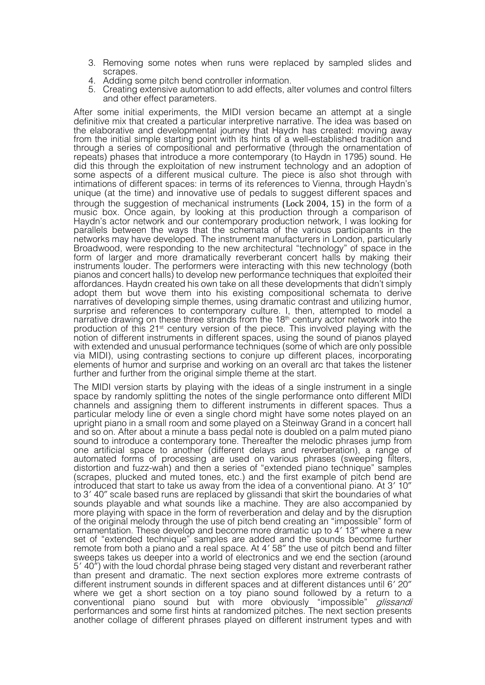- 3. Removing some notes when runs were replaced by sampled slides and scrapes. 4. Adding some pitch bend controller information. 5. Creating extensive automation to add effects, alter volumes and control filters
- 
- and other effect parameters.

After some initial experiments, the MIDI version became an attempt at a single definitive mix that created a particular interpretive narrative. The idea was based on the elaborative and developmental journey that Haydn has created: moving away from the initial simple starting point with its hints of a well-established tradition and through a series of compositional and performative (through the ornamentation of repeats) phases that introduce a more contemporary (to Haydn in 1795) sound. He did this through the exploitation of new instrument technology and an adoption of some aspects of a different musical culture. The piece is also shot through with intimations of different spaces: in terms of its references to Vienna, through Haydn's unique (at the time) and innovative use of pedals to suggest different spaces and through the suggestion of mechanical instruments (Lock 2004, 15) in the form of a music box. Once again, by looking at this production through a comparison of Haydn's actor network and our contemporary production network, I was looking for parallels between the ways that the schemata of the various participants in the networks may have developed. The instrument manufacturers in London, particularly Broadwood, were responding to the new architectural "technology" of space in the form of larger and more dramatically reverberant concert halls by making their instruments louder. The performers were interacting with this new technology (both pianos and concert halls) to develop new performance techniques that exploited their affordances. Haydn created his own take on all these developments that didn't simply adopt them but wove them into his existing compositional schemata to derive narratives of developing simple themes, using dramatic contrast and utilizing humor, surprise and references to contemporary culture. I, then, attempted to model a narrative drawing on these three strands from the 18<sup>th</sup> century actor network into the production of this 21<sup>st</sup> century version of the piece. This involved playing with the notion of different instruments in different spaces, using the sound of pianos played with extended and unusual performance techniques (some of which are only possible via MIDI), using contrasting sections to conjure up different places, incorporating elements of humor and surprise and working on an overall arc that takes the listener further and further from the original simple theme at the start.

The MIDI version starts by playing with the ideas of a single instrument in a single space by randomly splitting the notes of the single performance onto different MIDI channels and assigning them to different instruments in different spaces. Thus a particular melody line or even a single chord might have some notes played on an upright piano in a small room and some played on a Steinway Grand in a concert hall and so on. After about a minute a bass pedal note is doubled on a palm muted piano sound to introduce a contemporary tone. Thereafter the melodic phrases jump from one artificial space to another (different delays and reverberation), a range of automated forms of processing are used on various phrases (sweeping filters, distortion and fuzz-wah) and then a series of "extended piano technique" samples (scrapes, plucked and muted tones, etc.) and the first example of pitch bend are introduced that start to take us away from the idea of a conventional piano. At 3′ 10″ to 3′ 40″ scale based runs are replaced by glissandi that skirt the boundaries of what sounds playable and what sounds like a machine. They are also accompanied by more playing with space in the form of reverberation and delay and by the disruption of the original melody through the use of pitch bend creating an "impossible" form of ornamentation. These develop and become more dramatic up to 4′ 13″ where a new set of "extended technique" samples are added and the sounds become further remote from both a piano and a real space. At 4′ 58″ the use of pitch bend and filter sweeps takes us deeper into a world of electronics and we end the section (around 5′ 40″) with the loud chordal phrase being staged very distant and reverberant rather than present and dramatic. The next section explores more extreme contrasts of different instrument sounds in different spaces and at different distances until 6' 20" where we get a short section on a toy piano sound followed by a return to a conventional piano sound but with more obviously "impossible" *glissandi* performances and some first hints at randomized pitches. The next section presents another collage of different phrases played on different instrument types and with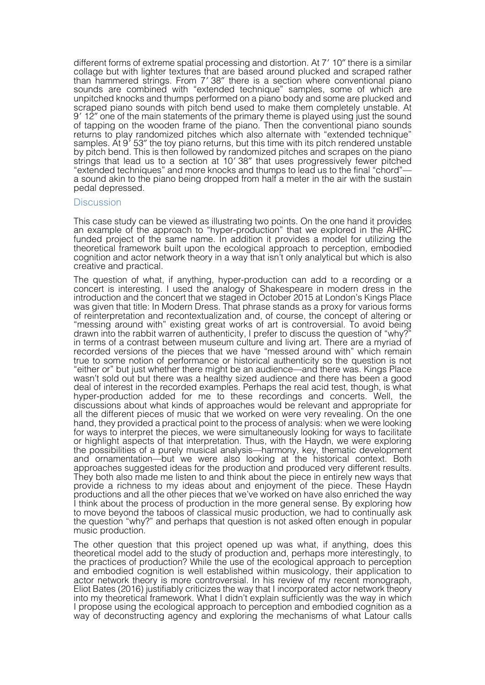different forms of extreme spatial processing and distortion. At 7′ 10″ there is a similar collage but with lighter textures that are based around plucked and scraped rather than hammered strings. From 7′ 38″ there is a section where conventional piano sounds are combined with "extended technique" samples, some of which are unpitched knocks and thumps performed on a piano body and some are plucked and scraped piano sounds with pitch bend used to make them completely unstable. At 9′ 12″ one of the main statements of the primary theme is played using just the sound of tapping on the wooden frame of the piano. Then the conventional piano sounds returns to play randomized pitches which also alternate with "extended technique" returns to play 19<sup>7</sup> 53<sup>"</sup> the toy piano returns, but this time with its pitch rendered unstable by pitch bend. This is then followed by randomized pitches and scrapes on the piano strings that lead us to a section at 10′ 38″ that uses progressively fewer pitched "extended techniques" and more knocks and thumps to lead us to the final "chord"— a sound akin to the piano being dropped from half a meter in the air with the sustain pedal depressed.

#### **Discussion**

This case study can be viewed as illustrating two points. On the one hand it provides an example of the approach to "hyper-production" that we explored in the AHRC funded project of the same name. In addition it provides a model for utilizing the theoretical framework built upon the ecological approach to perception, embodied cognition and actor network theory in a way that isn't only analytical but which is also creative and practical.

The question of what, if anything, hyper-production can add to a recording or a concert is interesting. I used the analogy of Shakespeare in modern dress in the introduction and the concert that we staged in October 2015 at London's Kings Place was given that title: In Modern Dress. That phrase stands as a proxy for various forms of reinterpretation and recontextualization and, of course, the concept of altering or "messing around with" existing great works of art is controversial. To avoid being drawn into the rabbit warren of authenticity, I prefer to discuss the question of "why?" in terms of a contrast between museum culture and living art. There are a myriad of recorded versions of the pieces that we have "messed around with" which remain true to some notion of performance or historical authenticity so the question is not "either or" but just whether there might be an audience—and there was. Kings Place wasn't sold out but there was a healthy sized audience and there has been a good deal of interest in the recorded examples. Perhaps the real acid test, though, is what hyper-production added for me to these recordings and concerts. Well, the discussions about what kinds of approaches would be relevant and appropriate for all the different pieces of music that we worked on were very revealing. On the one hand, they provided a practical point to the process of analysis: when we were looking for ways to interpret the pieces, we were simultaneously looking for ways to facilitate or highlight aspects of that interpretation. Thus, with the Haydn, we were exploring the possibilities of a purely musical analysis—harmony, key, thematic development and ornamentation—but we were also looking at the historical context. Both approaches suggested ideas for the production and produced very different results. They both also made me listen to and think about the piece in entirely new ways that provide a richness to my ideas about and enjoyment of the piece. These Haydn productions and all the other pieces that we've worked on have also enriched the way I think about the process of production in the more general sense. By exploring how to move beyond the taboos of classical music production, we had to continually ask the question "why?" and perhaps that question is not asked often enough in popular music production.

The other question that this project opened up was what, if anything, does this theoretical model add to the study of production and, perhaps more interestingly, to the practices of production? While the use of the ecological approach to perception and embodied cognition is well established within musicology, their application to actor network theory is more controversial. In his review of my recent monograph, Eliot Bates (2016) justifiably criticizes the way that I incorporated actor network theory into my theoretical framework. What I didn't explain sufficiently was the way in which I propose using the ecological approach to perception and embodied cognition as a way of deconstructing agency and exploring the mechanisms of what Latour calls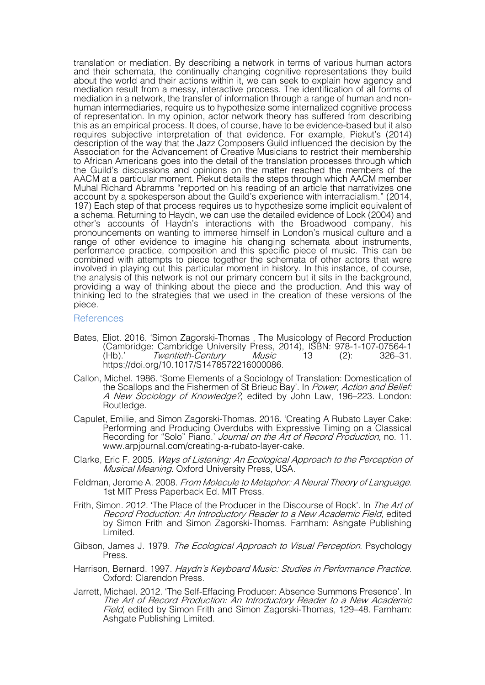translation or mediation. By describing a network in terms of various human actors and their schemata, the continually changing cognitive representations they build about the world and their actions within it, we can seek to explain how agency and mediation result from a messy, interactive process. The identification of all forms of mediation in a network, the transfer of information through a range of human and nonhuman intermediaries, require us to hypothesize some internalized cognitive process of representation. In my opinion, actor network theory has suffered from describing this as an empirical process. It does, of course, have to be evidence-based but it also requires subjective interpretation of that evidence. For example, Piekut's (2014) description of the way that the Jazz Composers Guild influenced the decision by the Association for the Advancement of Creative Musicians to restrict their membership to African Americans goes into the detail of the translation processes through which the Guild's discussions and opinions on the matter reached the members of the AACM at a particular moment. Piekut details the steps through which AACM member Muhal Richard Abramms "reported on his reading of an article that narrativizes one account by a spokesperson about the Guild's experience with interracialism." (2014, 197) Each step of that process requires us to hypothesize some implicit equivalent of a schema. Returning to Haydn, we can use the detailed evidence of Lock (2004) and other's accounts of Haydn's interactions with the Broadwood company, his pronouncements on wanting to immerse himself in London's musical culture and a range of other evidence to imagine his changing schemata about instruments, performance practice, composition and this specific piece of music. This can be combined with attempts to piece together the schemata of other actors that were involved in playing out this particular moment in history. In this instance, of course, the analysis of this network is not our primary concern but it sits in the background, providing a way of thinking about the piece and the production. And this way of thinking led to the strategies that we used in the creation of these versions of the piece.

#### **References**

- Bates, Eliot. 2016. 'Simon Zagorski-Thomas , The Musicology of Record Production (Cambridge: Cambridge University Press, 2014), ISBN: 978-1-107-07564-1 (Hb).' Twentieth-Century Music 13 (2): 326-31. https://doi.org/10.1017/S1478572216000086.
- Callon, Michel. 1986. 'Some Elements of a Sociology of Translation: Domestication of the Scallops and the Fishermen of St Brieuc Bay'. In Power, Action and Belief: A New Sociology of Knowledge?, edited by John Law, 196-223. London: Routledge.
- Capulet, Emilie, and Simon Zagorski-Thomas. 2016. 'Creating A Rubato Layer Cake: Performing and Producing Overdubs with Expressive Timing on a Classical Recording for "Solo" Piano.' Journal on the Art of Record Production, no. 11. www.arpjournal.com/creating-a-rubato-layer-cake.
- Clarke, Eric F. 2005. Ways of Listening: An Ecological Approach to the Perception of Musical Meaning. Oxford University Press, USA.
- Feldman, Jerome A. 2008. From Molecule to Metaphor: A Neural Theory of Language. 1st MIT Press Paperback Ed. MIT Press.
- Frith, Simon. 2012. 'The Place of the Producer in the Discourse of Rock'. In The Art of Record Production: An Introductory Reader to a New Academic Field, edited by Simon Frith and Simon Zagorski-Thomas. Farnham: Ashgate Publishing Limited.
- Gibson, James J. 1979. The Ecological Approach to Visual Perception. Psychology Press.
- Harrison, Bernard. 1997. *Haydn's Keyboard Music: Studies in Performance Practice.*<br>Oxford: Clarendon Press.
- Jarrett, Michael. 2012. 'The Self-Effacing Producer: Absence Summons Presence'. In The Art of Record Production: An Introductory Reader to a New Academic Field, edited by Simon Frith and Simon Zagorski-Thomas, 129–48. Farnham: Ashgate Publishing Limited.